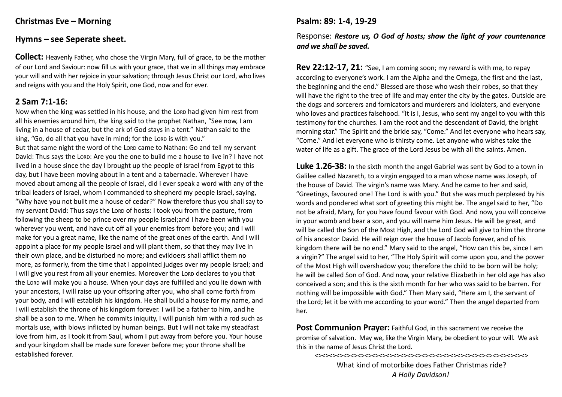**Christmas Eve – Morning**

#### **Hymns – see Seperate sheet.**

**Collect:** Heavenly Father, who chose the Virgin Mary, full of grace, to be the mother of our Lord and Saviour: now fill us with your grace, that we in all things may embrace your will and with her rejoice in your salvation; through Jesus Christ our Lord, who lives and reigns with you and the Holy Spirit, one God, now and for ever.

#### **2 Sam 7:1-16:**

Now when the king was settled in his house, and the LORD had given him rest from all his enemies around him, the king said to the prophet Nathan, "See now, I am living in a house of cedar, but the ark of God stays in a tent." Nathan said to the king, "Go, do all that you have in mind; for the LORD is with you."

But that same night the word of the LORD came to Nathan: Go and tell my servant David: Thus says the LORD: Are you the one to build me a house to live in? I have not lived in a house since the day I brought up the people of Israel from Egypt to this day, but I have been moving about in a tent and a tabernacle. Wherever I have moved about among all the people of Israel, did I ever speak a word with any of the tribal leaders of Israel, whom I commanded to shepherd my people Israel, saying, "Why have you not built me a house of cedar?" Now therefore thus you shall say to my servant David: Thus says the LORD of hosts: I took you from the pasture, from following the sheep to be prince over my people Israel;and I have been with you wherever you went, and have cut off all your enemies from before you; and I will make for you a great name, like the name of the great ones of the earth. And I will appoint a place for my people Israel and will plant them, so that they may live in their own place, and be disturbed no more; and evildoers shall afflict them no more, as formerly, from the time that I appointed judges over my people Israel; and I will give you rest from all your enemies. Moreover the LORD declares to you that the LORD will make you a house. When your days are fulfilled and you lie down with your ancestors, I will raise up your offspring after you, who shall come forth from your body, and I will establish his kingdom. He shall build a house for my name, and I will establish the throne of his kingdom forever. I will be a father to him, and he shall be a son to me. When he commits iniquity, I will punish him with a rod such as mortals use, with blows inflicted by human beings. But I will not take my steadfast love from him, as I took it from Saul, whom I put away from before you. Your house and your kingdom shall be made sure forever before me; your throne shall be established forever.

#### **Psalm: 89: 1-4, 19-29**

Response: *Restore us, O God of hosts; show the light of your countenance and we shall be saved.*

**Rev 22:12-17, 21:** "See, I am coming soon; my reward is with me, to repay according to everyone's work. I am the Alpha and the Omega, the first and the last, the beginning and the end." Blessed are those who wash their robes, so that they will have the right to the tree of life and may enter the city by the gates. Outside are the dogs and sorcerers and fornicators and murderers and idolaters, and everyone who loves and practices falsehood. "It is I, Jesus, who sent my angel to you with this testimony for the churches. I am the root and the descendant of David, the bright morning star." The Spirit and the bride say, "Come." And let everyone who hears say, "Come." And let everyone who is thirsty come. Let anyone who wishes take the water of life as a gift. The grace of the Lord Jesus be with all the saints. Amen.

Luke 1.26-38: In the sixth month the angel Gabriel was sent by God to a town in Galilee called Nazareth, to a virgin engaged to a man whose name was Joseph, of the house of David. The virgin's name was Mary. And he came to her and said, "Greetings, favoured one! The Lord is with you." But she was much perplexed by his words and pondered what sort of greeting this might be. The angel said to her, "Do not be afraid, Mary, for you have found favour with God. And now, you will conceive in your womb and bear a son, and you will name him Jesus. He will be great, and will be called the Son of the Most High, and the Lord God will give to him the throne of his ancestor David. He will reign over the house of Jacob forever, and of his kingdom there will be no end." Mary said to the angel, "How can this be, since I am a virgin?" The angel said to her, "The Holy Spirit will come upon you, and the power of the Most High will overshadow you; therefore the child to be born will be holy; he will be called Son of God. And now, your relative Elizabeth in her old age has also conceived a son; and this is the sixth month for her who was said to be barren. For nothing will be impossible with God." Then Mary said, "Here am I, the servant of the Lord; let it be with me according to your word." Then the angel departed from her.

**Post Communion Prayer:** Faithful God, in this sacrament we receive the promise of salvation. May we, like the Virgin Mary, be obedient to your will. We ask this in the name of Jesus Christ the Lord.

<><><><><><><><><><><><><><><><><><><><><><><><><><><><><><> What kind of motorbike does Father Christmas ride? *A Holly Davidson!*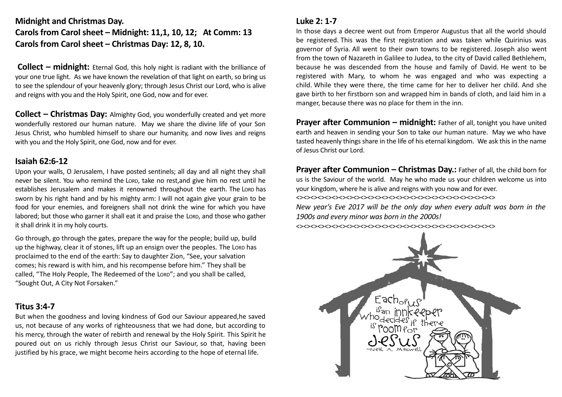**Midnight and Christmas Day. Carols from Carol sheet – Midnight: 11,1, 10, 12; At Comm: 13 Carols from Carol sheet – Christmas Day: 12, 8, 10.**

**Collect – midnight:** Eternal God, this holy night is radiant with the brilliance of your one true light. As we have known the revelation of that light on earth, so bring us to see the splendour of your heavenly glory; through Jesus Christ our Lord, who is alive and reigns with you and the Holy Spirit, one God, now and for ever.

**Collect – Christmas Day:** Almighty God, you wonderfully created and yet more wonderfully restored our human nature. May we share the divine life of your Son Jesus Christ, who humbled himself to share our humanity, and now lives and reigns with you and the Holy Spirit, one God, now and for ever.

#### **Isaiah 62:6-12**

Upon your walls, O Jerusalem, I have posted sentinels; all day and all night they shall never be silent. You who remind the LORD, take no rest,and give him no rest until he establishes Jerusalem and makes it renowned throughout the earth. The LORD has sworn by his right hand and by his mighty arm: I will not again give your grain to be food for your enemies, and foreigners shall not drink the wine for which you have labored; but those who garner it shall eat it and praise the LoRD, and those who gather it shall drink it in my holy courts.

Go through, go through the gates, prepare the way for the people; build up, build up the highway, clear it of stones, lift up an ensign over the peoples. The LORD has proclaimed to the end of the earth: Say to daughter Zion, "See, your salvation comes; his reward is with him, and his recompense before him." They shall be called, "The Holy People, The Redeemed of the LORD"; and you shall be called, "Sought Out, A City Not Forsaken."

#### **Titus 3:4-7**

But when the goodness and loving kindness of God our Saviour appeared,he saved us, not because of any works of righteousness that we had done, but according to his mercy, through the water of rebirth and renewal by the Holy Spirit. This Spirit he poured out on us richly through Jesus Christ our Saviour, so that, having been justified by his grace, we might become heirs according to the hope of eternal life.

#### **Luke 2: 1-7**

In those days a decree went out from Emperor Augustus that all the world should be registered. This was the first registration and was taken while Quirinius was governor of Syria. All went to their own towns to be registered. Joseph also went from the town of Nazareth in Galilee to Judea, to the city of David called Bethlehem, because he was descended from the house and family of David. He went to be registered with Mary, to whom he was engaged and who was expecting a child. While they were there, the time came for her to deliver her child. And she gave birth to her firstborn son and wrapped him in bands of cloth, and laid him in a manger, because there was no place for them in the inn.

**Prayer after Communion – midnight:** Father of all, tonight you have united earth and heaven in sending your Son to take our human nature. May we who have tasted heavenly things share in the life of his eternal kingdom. We ask this in the name of Jesus Christ our Lord.

**Prayer after Communion – Christmas Day.:** Father of all, the child born for us is the Saviour of the world. May he who made us your children welcome us into your kingdom, where he is alive and reigns with you now and for ever. <><><><><><><><><><><><><><><><><><><><><><><><><><><><> *New year's Eve 2017 will be the only day when every adult was born in the 1900s and every minor was born in the 2000s!* <><><><><><><><><><><><><><><><><><><><><><><><><><><><>

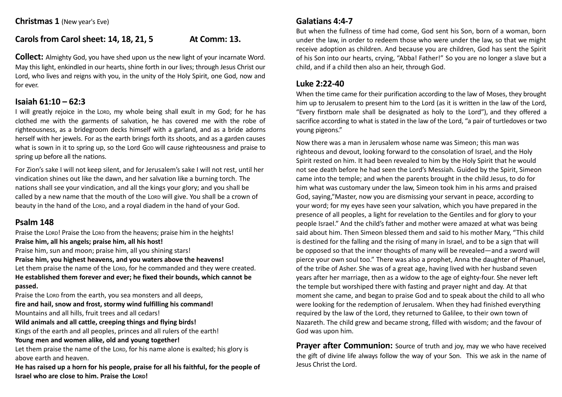**Christmas 1** (New year's Eve)

#### **Carols from Carol sheet: 14, 18, 21, 5 At Comm: 13.**

**Collect:** Almighty God, you have shed upon us the new light of your incarnate Word. May this light, enkindled in our hearts, shine forth in our lives; through Jesus Christ our Lord, who lives and reigns with you, in the unity of the Holy Spirit, one God, now and for ever.

## **Isaiah 61:10 – 62:3**

I will greatly rejoice in the LORD, my whole being shall exult in my God; for he has clothed me with the garments of salvation, he has covered me with the robe of righteousness, as a bridegroom decks himself with a garland, and as a bride adorns herself with her jewels. For as the earth brings forth its shoots, and as a garden causes what is sown in it to spring up, so the Lord Gop will cause righteousness and praise to spring up before all the nations.

For Zion's sake I will not keep silent, and for Jerusalem's sake I will not rest, until her vindication shines out like the dawn, and her salvation like a burning torch. The nations shall see your vindication, and all the kings your glory; and you shall be called by a new name that the mouth of the LORD will give. You shall be a crown of beauty in the hand of the LORD, and a royal diadem in the hand of your God.

#### **Psalm 148**

Praise the LORD! Praise the LORD from the heavens; praise him in the heights! **Praise him, all his angels; praise him, all his host!**

Praise him, sun and moon; praise him, all you shining stars!

**Praise him, you highest heavens, and you waters above the heavens!** Let them praise the name of the LORD, for he commanded and they were created. **He established them forever and ever; he fixed their bounds, which cannot be passed.**

Praise the LORD from the earth, you sea monsters and all deeps,

#### **fire and hail, snow and frost, stormy wind fulfilling his command!** Mountains and all hills, fruit trees and all cedars!

#### **Wild animals and all cattle, creeping things and flying birds!**

Kings of the earth and all peoples, princes and all rulers of the earth!

# **Young men and women alike, old and young together!**

Let them praise the name of the LORD, for his name alone is exalted; his glory is above earth and heaven.

**He has raised up a horn for his people, praise for all his faithful, for the people of Israel who are close to him. Praise the LORD!** 

## **Galatians 4:4-7**

But when the fullness of time had come, God sent his Son, born of a woman, born under the law, in order to redeem those who were under the law, so that we might receive adoption as children. And because you are children, God has sent the Spirit of his Son into our hearts, crying, "Abba! Father!" So you are no longer a slave but a child, and if a child then also an heir, through God.

## **Luke 2:22-40**

When the time came for their purification according to the law of Moses, they brought him up to Jerusalem to present him to the Lord (as it is written in the law of the Lord, "Every firstborn male shall be designated as holy to the Lord"), and they offered a sacrifice according to what is stated in the law of the Lord, "a pair of turtledoves or two young pigeons."

Now there was a man in Jerusalem whose name was Simeon; this man was righteous and devout, looking forward to the consolation of Israel, and the Holy Spirit rested on him. It had been revealed to him by the Holy Spirit that he would not see death before he had seen the Lord's Messiah. Guided by the Spirit, Simeon came into the temple; and when the parents brought in the child Jesus, to do for him what was customary under the law, Simeon took him in his arms and praised God, saying,"Master, now you are dismissing your servant in peace, according to your word; for my eyes have seen your salvation, which you have prepared in the presence of all peoples, a light for revelation to the Gentiles and for glory to your people Israel." And the child's father and mother were amazed at what was being said about him. Then Simeon blessed them and said to his mother Mary, "This child is destined for the falling and the rising of many in Israel, and to be a sign that will be opposed so that the inner thoughts of many will be revealed—and a sword will pierce your own soul too." There was also a prophet, Anna the daughter of Phanuel, of the tribe of Asher. She was of a great age, having lived with her husband seven years after her marriage, then as a widow to the age of eighty-four. She never left the temple but worshiped there with fasting and prayer night and day. At that moment she came, and began to praise God and to speak about the child to all who were looking for the redemption of Jerusalem. When they had finished everything required by the law of the Lord, they returned to Galilee, to their own town of Nazareth. The child grew and became strong, filled with wisdom; and the favour of God was upon him.

**Prayer after Communion:** Source of truth and joy, may we who have received the gift of divine life always follow the way of your Son. This we ask in the name of Jesus Christ the Lord.